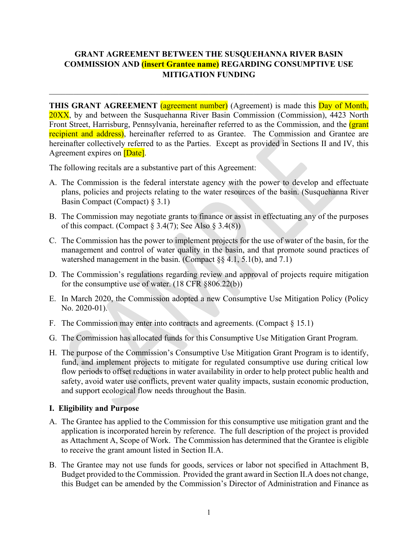# **GRANT AGREEMENT BETWEEN THE SUSQUEHANNA RIVER BASIN COMMISSION AND (insert Grantee name) REGARDING CONSUMPTIVE USE MITIGATION FUNDING**

**THIS GRANT AGREEMENT** (agreement number) (Agreement) is made this **Day of Month**, 20XX, by and between the Susquehanna River Basin Commission (Commission), 4423 North Front Street, Harrisburg, Pennsylvania, hereinafter referred to as the Commission, and the *(grant*) recipient and address), hereinafter referred to as Grantee. The Commission and Grantee are hereinafter collectively referred to as the Parties. Except as provided in Sections II and IV, this Agreement expires on **[Date]**.

The following recitals are a substantive part of this Agreement:

- A. The Commission is the federal interstate agency with the power to develop and effectuate plans, policies and projects relating to the water resources of the basin. (Susquehanna River Basin Compact (Compact) § 3.1)
- B. The Commission may negotiate grants to finance or assist in effectuating any of the purposes of this compact. (Compact  $\S 3.4(7)$ ; See Also  $\S 3.4(8)$ )
- C. The Commission has the power to implement projects for the use of water of the basin, for the management and control of water quality in the basin, and that promote sound practices of watershed management in the basin. (Compact  $\S$ § 4.1, 5.1(b), and 7.1)
- D. The Commission's regulations regarding review and approval of projects require mitigation for the consumptive use of water. (18 CFR §806.22(b))
- E. In March 2020, the Commission adopted a new Consumptive Use Mitigation Policy (Policy No. 2020-01).
- F. The Commission may enter into contracts and agreements. (Compact § 15.1)
- G. The Commission has allocated funds for this Consumptive Use Mitigation Grant Program.
- H. The purpose of the Commission's Consumptive Use Mitigation Grant Program is to identify, fund, and implement projects to mitigate for regulated consumptive use during critical low flow periods to offset reductions in water availability in order to help protect public health and safety, avoid water use conflicts, prevent water quality impacts, sustain economic production, and support ecological flow needs throughout the Basin.

#### **I. Eligibility and Purpose**

- A. The Grantee has applied to the Commission for this consumptive use mitigation grant and the application is incorporated herein by reference. The full description of the project is provided as Attachment A, Scope of Work. The Commission has determined that the Grantee is eligible to receive the grant amount listed in Section II.A.
- B. The Grantee may not use funds for goods, services or labor not specified in Attachment B, Budget provided to the Commission. Provided the grant award in Section II.A does not change, this Budget can be amended by the Commission's Director of Administration and Finance as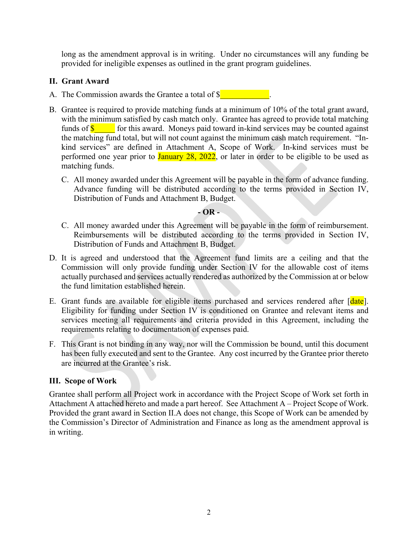long as the amendment approval is in writing. Under no circumstances will any funding be provided for ineligible expenses as outlined in the grant program guidelines.

### **II. Grant Award**

- A. The Commission awards the Grantee a total of  $\frac{1}{2}$
- B. Grantee is required to provide matching funds at a minimum of 10% of the total grant award, with the minimum satisfied by cash match only. Grantee has agreed to provide total matching funds of  $\frac{1}{s}$  for this award. Moneys paid toward in-kind services may be counted against the matching fund total, but will not count against the minimum cash match requirement. "Inkind services" are defined in Attachment A, Scope of Work. In-kind services must be performed one year prior to January 28, 2022, or later in order to be eligible to be used as matching funds.
	- C. All money awarded under this Agreement will be payable in the form of advance funding. Advance funding will be distributed according to the terms provided in Section IV, Distribution of Funds and Attachment B, Budget.

#### **- OR -**

- C. All money awarded under this Agreement will be payable in the form of reimbursement. Reimbursements will be distributed according to the terms provided in Section IV, Distribution of Funds and Attachment B, Budget.
- D. It is agreed and understood that the Agreement fund limits are a ceiling and that the Commission will only provide funding under Section IV for the allowable cost of items actually purchased and services actually rendered as authorized by the Commission at or below the fund limitation established herein.
- E. Grant funds are available for eligible items purchased and services rendered after [date]. Eligibility for funding under Section IV is conditioned on Grantee and relevant items and services meeting all requirements and criteria provided in this Agreement, including the requirements relating to documentation of expenses paid.
- F. This Grant is not binding in any way, nor will the Commission be bound, until this document has been fully executed and sent to the Grantee. Any cost incurred by the Grantee prior thereto are incurred at the Grantee's risk.

### **III. Scope of Work**

Grantee shall perform all Project work in accordance with the Project Scope of Work set forth in Attachment A attached hereto and made a part hereof. See Attachment A – Project Scope of Work. Provided the grant award in Section II.A does not change, this Scope of Work can be amended by the Commission's Director of Administration and Finance as long as the amendment approval is in writing.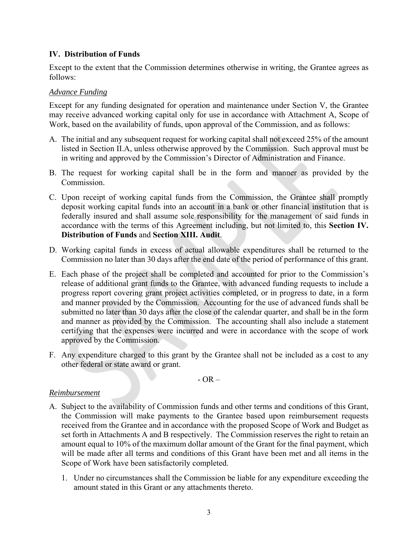### **IV. Distribution of Funds**

Except to the extent that the Commission determines otherwise in writing, the Grantee agrees as follows:

#### *Advance Funding*

Except for any funding designated for operation and maintenance under Section V, the Grantee may receive advanced working capital only for use in accordance with Attachment A, Scope of Work, based on the availability of funds, upon approval of the Commission, and as follows:

- A. The initial and any subsequent request for working capital shall not exceed 25% of the amount listed in Section II.A, unless otherwise approved by the Commission. Such approval must be in writing and approved by the Commission's Director of Administration and Finance.
- B. The request for working capital shall be in the form and manner as provided by the Commission.
- C. Upon receipt of working capital funds from the Commission, the Grantee shall promptly deposit working capital funds into an account in a bank or other financial institution that is federally insured and shall assume sole responsibility for the management of said funds in accordance with the terms of this Agreement including, but not limited to, this **Section IV. Distribution of Funds** and **Section XIII. Audit**.
- D. Working capital funds in excess of actual allowable expenditures shall be returned to the Commission no later than 30 days after the end date of the period of performance of this grant.
- E. Each phase of the project shall be completed and accounted for prior to the Commission's release of additional grant funds to the Grantee, with advanced funding requests to include a progress report covering grant project activities completed, or in progress to date, in a form and manner provided by the Commission. Accounting for the use of advanced funds shall be submitted no later than 30 days after the close of the calendar quarter, and shall be in the form and manner as provided by the Commission. The accounting shall also include a statement certifying that the expenses were incurred and were in accordance with the scope of work approved by the Commission.
- F. Any expenditure charged to this grant by the Grantee shall not be included as a cost to any other federal or state award or grant.

- OR –

### *Reimbursement*

- A. Subject to the availability of Commission funds and other terms and conditions of this Grant, the Commission will make payments to the Grantee based upon reimbursement requests received from the Grantee and in accordance with the proposed Scope of Work and Budget as set forth in Attachments A and B respectively. The Commission reserves the right to retain an amount equal to 10% of the maximum dollar amount of the Grant for the final payment, which will be made after all terms and conditions of this Grant have been met and all items in the Scope of Work have been satisfactorily completed.
	- 1. Under no circumstances shall the Commission be liable for any expenditure exceeding the amount stated in this Grant or any attachments thereto.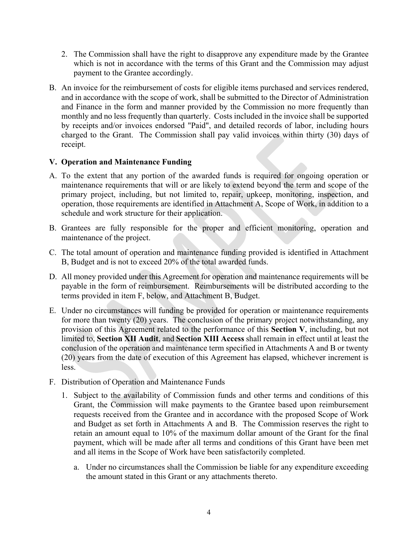- 2. The Commission shall have the right to disapprove any expenditure made by the Grantee which is not in accordance with the terms of this Grant and the Commission may adjust payment to the Grantee accordingly.
- B. An invoice for the reimbursement of costs for eligible items purchased and services rendered, and in accordance with the scope of work, shall be submitted to the Director of Administration and Finance in the form and manner provided by the Commission no more frequently than monthly and no less frequently than quarterly. Costs included in the invoice shall be supported by receipts and/or invoices endorsed "Paid", and detailed records of labor, including hours charged to the Grant. The Commission shall pay valid invoices within thirty (30) days of receipt.

#### **V. Operation and Maintenance Funding**

- A. To the extent that any portion of the awarded funds is required for ongoing operation or maintenance requirements that will or are likely to extend beyond the term and scope of the primary project, including, but not limited to, repair, upkeep, monitoring, inspection, and operation, those requirements are identified in Attachment A, Scope of Work, in addition to a schedule and work structure for their application.
- B. Grantees are fully responsible for the proper and efficient monitoring, operation and maintenance of the project.
- C. The total amount of operation and maintenance funding provided is identified in Attachment B, Budget and is not to exceed 20% of the total awarded funds.
- D. All money provided under this Agreement for operation and maintenance requirements will be payable in the form of reimbursement. Reimbursements will be distributed according to the terms provided in item F, below, and Attachment B, Budget.
- E. Under no circumstances will funding be provided for operation or maintenance requirements for more than twenty (20) years. The conclusion of the primary project notwithstanding, any provision of this Agreement related to the performance of this **Section V**, including, but not limited to, **Section XII Audit**, and **Section XIII Access** shall remain in effect until at least the conclusion of the operation and maintenance term specified in Attachments A and B or twenty (20) years from the date of execution of this Agreement has elapsed, whichever increment is less.
- F. Distribution of Operation and Maintenance Funds
	- 1. Subject to the availability of Commission funds and other terms and conditions of this Grant, the Commission will make payments to the Grantee based upon reimbursement requests received from the Grantee and in accordance with the proposed Scope of Work and Budget as set forth in Attachments A and B. The Commission reserves the right to retain an amount equal to 10% of the maximum dollar amount of the Grant for the final payment, which will be made after all terms and conditions of this Grant have been met and all items in the Scope of Work have been satisfactorily completed.
		- a. Under no circumstances shall the Commission be liable for any expenditure exceeding the amount stated in this Grant or any attachments thereto.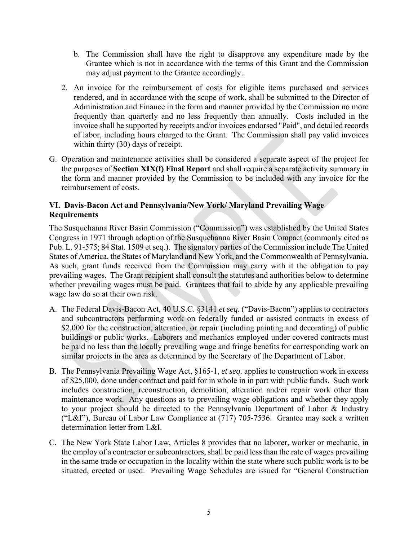- b. The Commission shall have the right to disapprove any expenditure made by the Grantee which is not in accordance with the terms of this Grant and the Commission may adjust payment to the Grantee accordingly.
- 2. An invoice for the reimbursement of costs for eligible items purchased and services rendered, and in accordance with the scope of work, shall be submitted to the Director of Administration and Finance in the form and manner provided by the Commission no more frequently than quarterly and no less frequently than annually. Costs included in the invoice shall be supported by receipts and/or invoices endorsed "Paid", and detailed records of labor, including hours charged to the Grant. The Commission shall pay valid invoices within thirty (30) days of receipt.
- G. Operation and maintenance activities shall be considered a separate aspect of the project for the purposes of **Section XIX(f) Final Report** and shall require a separate activity summary in the form and manner provided by the Commission to be included with any invoice for the reimbursement of costs.

### **VI. Davis-Bacon Act and Pennsylvania/New York/ Maryland Prevailing Wage Requirements**

The Susquehanna River Basin Commission ("Commission") was established by the United States Congress in 1971 through adoption of the Susquehanna River Basin Compact (commonly cited as Pub. L. 91-575; 84 Stat. 1509 et seq.). The signatory parties of the Commission include The United States of America, the States of Maryland and New York, and the Commonwealth of Pennsylvania. As such, grant funds received from the Commission may carry with it the obligation to pay prevailing wages. The Grant recipient shall consult the statutes and authorities below to determine whether prevailing wages must be paid. Grantees that fail to abide by any applicable prevailing wage law do so at their own risk.

- A. The Federal Davis-Bacon Act, 40 U.S.C. §3141 *et seq*. ("Davis-Bacon") applies to contractors and subcontractors performing work on federally funded or assisted contracts in excess of \$2,000 for the construction, alteration, or repair (including painting and decorating) of public buildings or public works. Laborers and mechanics employed under covered contracts must be paid no less than the locally prevailing wage and fringe benefits for corresponding work on similar projects in the area as determined by the Secretary of the Department of Labor.
- B. The Pennsylvania Prevailing Wage Act, §165-1, *et seq*. applies to construction work in excess of \$25,000, done under contract and paid for in whole in in part with public funds. Such work includes construction, reconstruction, demolition, alteration and/or repair work other than maintenance work. Any questions as to prevailing wage obligations and whether they apply to your project should be directed to the Pennsylvania Department of Labor & Industry ("L&I"), Bureau of Labor Law Compliance at (717) 705-7536. Grantee may seek a written determination letter from L&I.
- C. The New York State Labor Law, Articles 8 provides that no laborer, worker or mechanic, in the employ of a contractor or subcontractors, shall be paid less than the rate of wages prevailing in the same trade or occupation in the locality within the state where such public work is to be situated, erected or used. Prevailing Wage Schedules are issued for "General Construction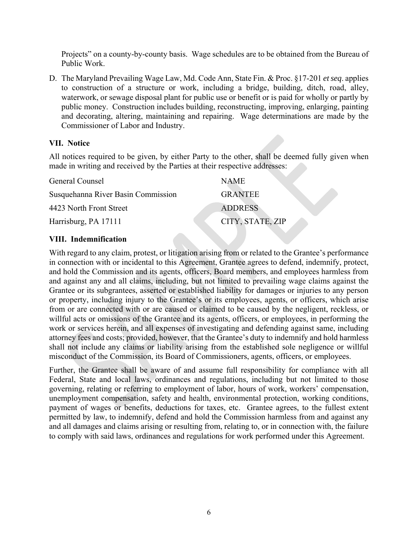Projects" on a county-by-county basis. Wage schedules are to be obtained from the Bureau of Public Work.

D. The Maryland Prevailing Wage Law, Md. Code Ann, State Fin. & Proc. §17-201 *et seq*. applies to construction of a structure or work, including a bridge, building, ditch, road, alley, waterwork, or sewage disposal plant for public use or benefit or is paid for wholly or partly by public money. Construction includes building, reconstructing, improving, enlarging, painting and decorating, altering, maintaining and repairing. Wage determinations are made by the Commissioner of Labor and Industry.

#### **VII. Notice**

All notices required to be given, by either Party to the other, shall be deemed fully given when made in writing and received by the Parties at their respective addresses:

| General Counsel                    | <b>NAME</b>      |
|------------------------------------|------------------|
| Susquehanna River Basin Commission | <b>GRANTEE</b>   |
| 4423 North Front Street            | <b>ADDRESS</b>   |
| Harrisburg, PA 17111               | CITY, STATE, ZIP |

### **VIII. Indemnification**

With regard to any claim, protest, or litigation arising from or related to the Grantee's performance in connection with or incidental to this Agreement, Grantee agrees to defend, indemnify, protect, and hold the Commission and its agents, officers, Board members, and employees harmless from and against any and all claims, including, but not limited to prevailing wage claims against the Grantee or its subgrantees, asserted or established liability for damages or injuries to any person or property, including injury to the Grantee's or its employees, agents, or officers, which arise from or are connected with or are caused or claimed to be caused by the negligent, reckless, or willful acts or omissions of the Grantee and its agents, officers, or employees, in performing the work or services herein, and all expenses of investigating and defending against same, including attorney fees and costs; provided, however, that the Grantee's duty to indemnify and hold harmless shall not include any claims or liability arising from the established sole negligence or willful misconduct of the Commission, its Board of Commissioners, agents, officers, or employees.

Further, the Grantee shall be aware of and assume full responsibility for compliance with all Federal, State and local laws, ordinances and regulations, including but not limited to those governing, relating or referring to employment of labor, hours of work, workers' compensation, unemployment compensation, safety and health, environmental protection, working conditions, payment of wages or benefits, deductions for taxes, etc. Grantee agrees, to the fullest extent permitted by law, to indemnify, defend and hold the Commission harmless from and against any and all damages and claims arising or resulting from, relating to, or in connection with, the failure to comply with said laws, ordinances and regulations for work performed under this Agreement.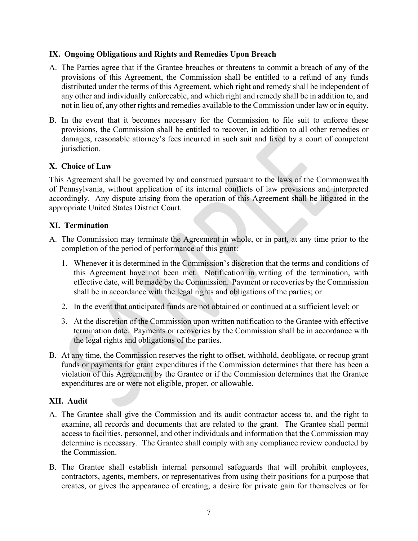#### **IX. Ongoing Obligations and Rights and Remedies Upon Breach**

- A. The Parties agree that if the Grantee breaches or threatens to commit a breach of any of the provisions of this Agreement, the Commission shall be entitled to a refund of any funds distributed under the terms of this Agreement, which right and remedy shall be independent of any other and individually enforceable, and which right and remedy shall be in addition to, and not in lieu of, any other rights and remedies available to the Commission under law or in equity.
- B. In the event that it becomes necessary for the Commission to file suit to enforce these provisions, the Commission shall be entitled to recover, in addition to all other remedies or damages, reasonable attorney's fees incurred in such suit and fixed by a court of competent jurisdiction.

#### **X. Choice of Law**

This Agreement shall be governed by and construed pursuant to the laws of the Commonwealth of Pennsylvania, without application of its internal conflicts of law provisions and interpreted accordingly. Any dispute arising from the operation of this Agreement shall be litigated in the appropriate United States District Court.

#### **XI. Termination**

- A. The Commission may terminate the Agreement in whole, or in part, at any time prior to the completion of the period of performance of this grant:
	- 1. Whenever it is determined in the Commission's discretion that the terms and conditions of this Agreement have not been met. Notification in writing of the termination, with effective date, will be made by the Commission. Payment or recoveries by the Commission shall be in accordance with the legal rights and obligations of the parties; or
	- 2. In the event that anticipated funds are not obtained or continued at a sufficient level; or
	- 3. At the discretion of the Commission upon written notification to the Grantee with effective termination date. Payments or recoveries by the Commission shall be in accordance with the legal rights and obligations of the parties.
- B. At any time, the Commission reserves the right to offset, withhold, deobligate, or recoup grant funds or payments for grant expenditures if the Commission determines that there has been a violation of this Agreement by the Grantee or if the Commission determines that the Grantee expenditures are or were not eligible, proper, or allowable.

### **XII. Audit**

- A. The Grantee shall give the Commission and its audit contractor access to, and the right to examine, all records and documents that are related to the grant. The Grantee shall permit access to facilities, personnel, and other individuals and information that the Commission may determine is necessary. The Grantee shall comply with any compliance review conducted by the Commission.
- B. The Grantee shall establish internal personnel safeguards that will prohibit employees, contractors, agents, members, or representatives from using their positions for a purpose that creates, or gives the appearance of creating, a desire for private gain for themselves or for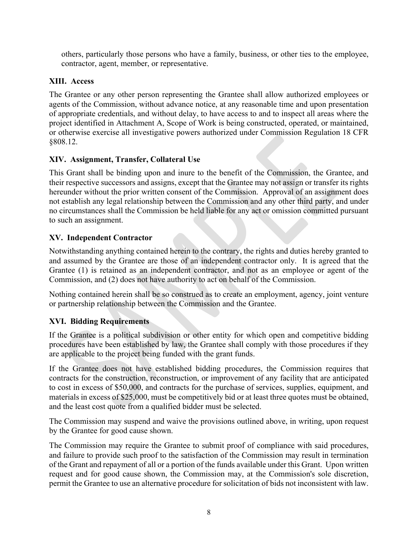others, particularly those persons who have a family, business, or other ties to the employee, contractor, agent, member, or representative.

## **XIII. Access**

The Grantee or any other person representing the Grantee shall allow authorized employees or agents of the Commission, without advance notice, at any reasonable time and upon presentation of appropriate credentials, and without delay, to have access to and to inspect all areas where the project identified in Attachment A, Scope of Work is being constructed, operated, or maintained, or otherwise exercise all investigative powers authorized under Commission Regulation 18 CFR §808.12.

## **XIV. Assignment, Transfer, Collateral Use**

This Grant shall be binding upon and inure to the benefit of the Commission, the Grantee, and their respective successors and assigns, except that the Grantee may not assign or transfer its rights hereunder without the prior written consent of the Commission. Approval of an assignment does not establish any legal relationship between the Commission and any other third party, and under no circumstances shall the Commission be held liable for any act or omission committed pursuant to such an assignment.

### **XV. Independent Contractor**

Notwithstanding anything contained herein to the contrary, the rights and duties hereby granted to and assumed by the Grantee are those of an independent contractor only. It is agreed that the Grantee (1) is retained as an independent contractor, and not as an employee or agent of the Commission, and (2) does not have authority to act on behalf of the Commission.

Nothing contained herein shall be so construed as to create an employment, agency, joint venture or partnership relationship between the Commission and the Grantee.

# **XVI. Bidding Requirements**

If the Grantee is a political subdivision or other entity for which open and competitive bidding procedures have been established by law, the Grantee shall comply with those procedures if they are applicable to the project being funded with the grant funds.

If the Grantee does not have established bidding procedures, the Commission requires that contracts for the construction, reconstruction, or improvement of any facility that are anticipated to cost in excess of \$50,000, and contracts for the purchase of services, supplies, equipment, and materials in excess of \$25,000, must be competitively bid or at least three quotes must be obtained, and the least cost quote from a qualified bidder must be selected.

The Commission may suspend and waive the provisions outlined above, in writing, upon request by the Grantee for good cause shown.

The Commission may require the Grantee to submit proof of compliance with said procedures, and failure to provide such proof to the satisfaction of the Commission may result in termination of the Grant and repayment of all or a portion of the funds available under this Grant. Upon written request and for good cause shown, the Commission may, at the Commission's sole discretion, permit the Grantee to use an alternative procedure for solicitation of bids not inconsistent with law.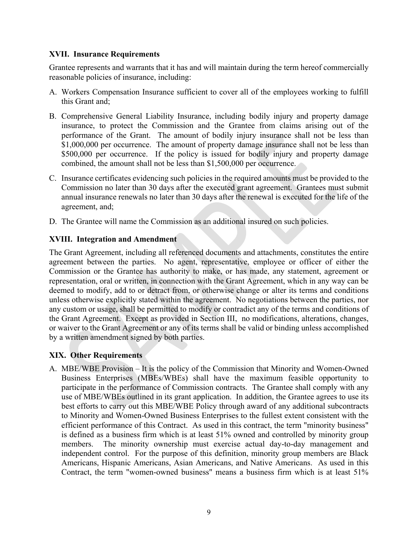#### **XVII. Insurance Requirements**

Grantee represents and warrants that it has and will maintain during the term hereof commercially reasonable policies of insurance, including:

- A. Workers Compensation Insurance sufficient to cover all of the employees working to fulfill this Grant and;
- B. Comprehensive General Liability Insurance, including bodily injury and property damage insurance, to protect the Commission and the Grantee from claims arising out of the performance of the Grant. The amount of bodily injury insurance shall not be less than \$1,000,000 per occurrence. The amount of property damage insurance shall not be less than \$500,000 per occurrence. If the policy is issued for bodily injury and property damage combined, the amount shall not be less than \$1,500,000 per occurrence.
- C. Insurance certificates evidencing such policies in the required amounts must be provided to the Commission no later than 30 days after the executed grant agreement. Grantees must submit annual insurance renewals no later than 30 days after the renewal is executed for the life of the agreement, and;
- D. The Grantee will name the Commission as an additional insured on such policies.

### **XVIII. Integration and Amendment**

The Grant Agreement, including all referenced documents and attachments, constitutes the entire agreement between the parties. No agent, representative, employee or officer of either the Commission or the Grantee has authority to make, or has made, any statement, agreement or representation, oral or written, in connection with the Grant Agreement, which in any way can be deemed to modify, add to or detract from, or otherwise change or alter its terms and conditions unless otherwise explicitly stated within the agreement. No negotiations between the parties, nor any custom or usage, shall be permitted to modify or contradict any of the terms and conditions of the Grant Agreement. Except as provided in Section III, no modifications, alterations, changes, or waiver to the Grant Agreement or any of its terms shall be valid or binding unless accomplished by a written amendment signed by both parties.

### **XIX. Other Requirements**

A. MBE/WBE Provision – It is the policy of the Commission that Minority and Women-Owned Business Enterprises (MBEs/WBEs) shall have the maximum feasible opportunity to participate in the performance of Commission contracts. The Grantee shall comply with any use of MBE/WBEs outlined in its grant application. In addition, the Grantee agrees to use its best efforts to carry out this MBE/WBE Policy through award of any additional subcontracts to Minority and Women-Owned Business Enterprises to the fullest extent consistent with the efficient performance of this Contract. As used in this contract, the term "minority business" is defined as a business firm which is at least 51% owned and controlled by minority group members. The minority ownership must exercise actual day-to-day management and independent control. For the purpose of this definition, minority group members are Black Americans, Hispanic Americans, Asian Americans, and Native Americans. As used in this Contract, the term "women-owned business" means a business firm which is at least 51%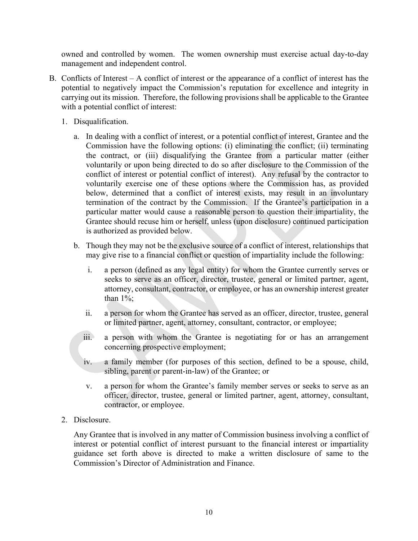owned and controlled by women. The women ownership must exercise actual day-to-day management and independent control.

- B. Conflicts of Interest A conflict of interest or the appearance of a conflict of interest has the potential to negatively impact the Commission's reputation for excellence and integrity in carrying out its mission. Therefore, the following provisions shall be applicable to the Grantee with a potential conflict of interest:
	- 1. Disqualification.
		- a. In dealing with a conflict of interest, or a potential conflict of interest, Grantee and the Commission have the following options: (i) eliminating the conflict; (ii) terminating the contract, or (iii) disqualifying the Grantee from a particular matter (either voluntarily or upon being directed to do so after disclosure to the Commission of the conflict of interest or potential conflict of interest). Any refusal by the contractor to voluntarily exercise one of these options where the Commission has, as provided below, determined that a conflict of interest exists, may result in an involuntary termination of the contract by the Commission. If the Grantee's participation in a particular matter would cause a reasonable person to question their impartiality, the Grantee should recuse him or herself, unless (upon disclosure) continued participation is authorized as provided below.
		- b. Though they may not be the exclusive source of a conflict of interest, relationships that may give rise to a financial conflict or question of impartiality include the following:
			- i. a person (defined as any legal entity) for whom the Grantee currently serves or seeks to serve as an officer, director, trustee, general or limited partner, agent, attorney, consultant, contractor, or employee, or has an ownership interest greater than  $1\%$ :
			- ii. a person for whom the Grantee has served as an officer, director, trustee, general or limited partner, agent, attorney, consultant, contractor, or employee;
			- iii. a person with whom the Grantee is negotiating for or has an arrangement concerning prospective employment;
			- iv. a family member (for purposes of this section, defined to be a spouse, child, sibling, parent or parent-in-law) of the Grantee; or
			- v. a person for whom the Grantee's family member serves or seeks to serve as an officer, director, trustee, general or limited partner, agent, attorney, consultant, contractor, or employee.
	- 2. Disclosure.

Any Grantee that is involved in any matter of Commission business involving a conflict of interest or potential conflict of interest pursuant to the financial interest or impartiality guidance set forth above is directed to make a written disclosure of same to the Commission's Director of Administration and Finance.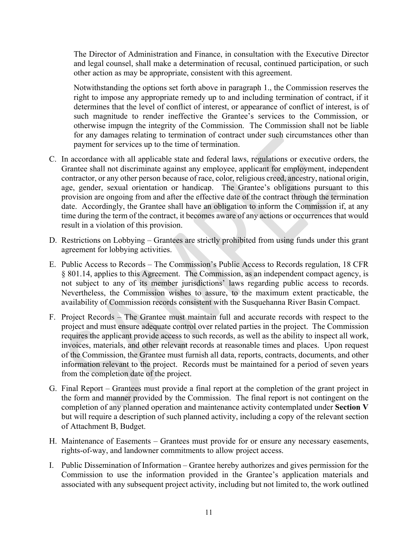The Director of Administration and Finance, in consultation with the Executive Director and legal counsel, shall make a determination of recusal, continued participation, or such other action as may be appropriate, consistent with this agreement.

Notwithstanding the options set forth above in paragraph 1., the Commission reserves the right to impose any appropriate remedy up to and including termination of contract, if it determines that the level of conflict of interest, or appearance of conflict of interest, is of such magnitude to render ineffective the Grantee's services to the Commission, or otherwise impugn the integrity of the Commission. The Commission shall not be liable for any damages relating to termination of contract under such circumstances other than payment for services up to the time of termination.

- C. In accordance with all applicable state and federal laws, regulations or executive orders, the Grantee shall not discriminate against any employee, applicant for employment, independent contractor, or any other person because of race, color, religious creed, ancestry, national origin, age, gender, sexual orientation or handicap. The Grantee's obligations pursuant to this provision are ongoing from and after the effective date of the contract through the termination date. Accordingly, the Grantee shall have an obligation to inform the Commission if, at any time during the term of the contract, it becomes aware of any actions or occurrences that would result in a violation of this provision.
- D. Restrictions on Lobbying Grantees are strictly prohibited from using funds under this grant agreement for lobbying activities.
- E. Public Access to Records The Commission's Public Access to Records regulation, 18 CFR § 801.14, applies to this Agreement. The Commission, as an independent compact agency, is not subject to any of its member jurisdictions' laws regarding public access to records. Nevertheless, the Commission wishes to assure, to the maximum extent practicable, the availability of Commission records consistent with the Susquehanna River Basin Compact.
- F. Project Records The Grantee must maintain full and accurate records with respect to the project and must ensure adequate control over related parties in the project. The Commission requires the applicant provide access to such records, as well as the ability to inspect all work, invoices, materials, and other relevant records at reasonable times and places. Upon request of the Commission, the Grantee must furnish all data, reports, contracts, documents, and other information relevant to the project. Records must be maintained for a period of seven years from the completion date of the project.
- G. Final Report Grantees must provide a final report at the completion of the grant project in the form and manner provided by the Commission. The final report is not contingent on the completion of any planned operation and maintenance activity contemplated under **Section V**  but will require a description of such planned activity, including a copy of the relevant section of Attachment B, Budget.
- H. Maintenance of Easements Grantees must provide for or ensure any necessary easements, rights-of-way, and landowner commitments to allow project access.
- I. Public Dissemination of Information Grantee hereby authorizes and gives permission for the Commission to use the information provided in the Grantee's application materials and associated with any subsequent project activity, including but not limited to, the work outlined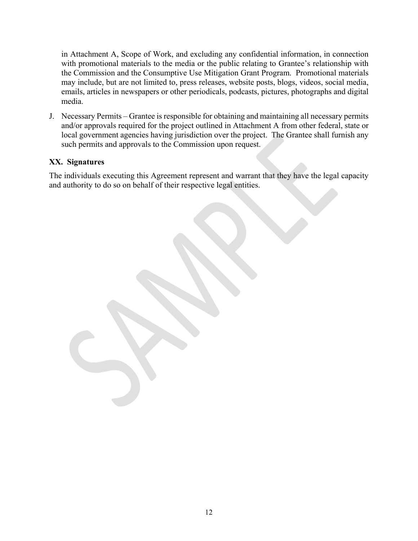in Attachment A, Scope of Work, and excluding any confidential information, in connection with promotional materials to the media or the public relating to Grantee's relationship with the Commission and the Consumptive Use Mitigation Grant Program. Promotional materials may include, but are not limited to, press releases, website posts, blogs, videos, social media, emails, articles in newspapers or other periodicals, podcasts, pictures, photographs and digital media.

J. Necessary Permits – Grantee is responsible for obtaining and maintaining all necessary permits and/or approvals required for the project outlined in Attachment A from other federal, state or local government agencies having jurisdiction over the project. The Grantee shall furnish any such permits and approvals to the Commission upon request.

#### **XX. Signatures**

The individuals executing this Agreement represent and warrant that they have the legal capacity and authority to do so on behalf of their respective legal entities.

12